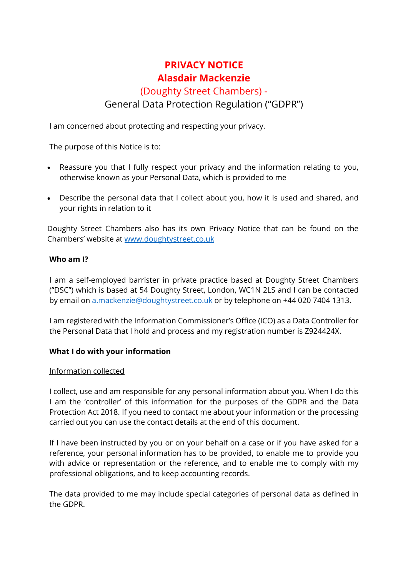# **PRIVACY NOTICE Alasdair Mackenzie**

# (Doughty Street Chambers) - General Data Protection Regulation ("GDPR")

I am concerned about protecting and respecting your privacy.

The purpose of this Notice is to:

- Reassure you that I fully respect your privacy and the information relating to you, otherwise known as your Personal Data, which is provided to me
- Describe the personal data that I collect about you, how it is used and shared, and your rights in relation to it

Doughty Street Chambers also has its own Privacy Notice that can be found on the Chambers' website at [www.doughtystreet.co.uk](http://www.doughtystreet.co.uk/)

### **Who am I?**

I am a self-employed barrister in private practice based at Doughty Street Chambers ("DSC") which is based at 54 Doughty Street, London, WC1N 2LS and I can be contacted by email on [a.mackenzie@doughtystreet.co.uk](mailto:a.mackenzie@doughtystreet.co.uk) or by telephone on +44 020 7404 1313.

I am registered with the Information Commissioner's Office (ICO) as a Data Controller for the Personal Data that I hold and process and my registration number is Z924424X.

### **What I do with your information**

### Information collected

I collect, use and am responsible for any personal information about you. When I do this I am the 'controller' of this information for the purposes of the GDPR and the Data Protection Act 2018. If you need to contact me about your information or the processing carried out you can use the contact details at the end of this document.

If I have been instructed by you or on your behalf on a case or if you have asked for a reference, your personal information has to be provided, to enable me to provide you with advice or representation or the reference, and to enable me to comply with my professional obligations, and to keep accounting records.

The data provided to me may include special categories of personal data as defined in the GDPR.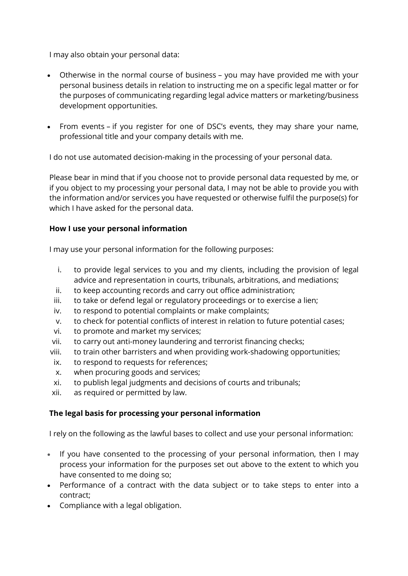I may also obtain your personal data:

- Otherwise in the normal course of business you may have provided me with your personal business details in relation to instructing me on a specific legal matter or for the purposes of communicating regarding legal advice matters or marketing/business development opportunities.
- From events if you register for one of DSC's events, they may share your name, professional title and your company details with me.

I do not use automated decision-making in the processing of your personal data.

Please bear in mind that if you choose not to provide personal data requested by me, or if you object to my processing your personal data, I may not be able to provide you with the information and/or services you have requested or otherwise fulfil the purpose(s) for which I have asked for the personal data.

### **How I use your personal information**

I may use your personal information for the following purposes:

- i. to provide legal services to you and my clients, including the provision of legal advice and representation in courts, tribunals, arbitrations, and mediations;
- ii. to keep accounting records and carry out office administration;
- iii. to take or defend legal or regulatory proceedings or to exercise a lien;
- iv. to respond to potential complaints or make complaints;
- v. to check for potential conflicts of interest in relation to future potential cases;
- vi. to promote and market my services;
- vii. to carry out anti-money laundering and terrorist financing checks;
- viii. to train other barristers and when providing work-shadowing opportunities;
- ix. to respond to requests for references;
- x. when procuring goods and services;
- xi. to publish legal judgments and decisions of courts and tribunals;
- xii. as required or permitted by law.

# **The legal basis for processing your personal information**

I rely on the following as the lawful bases to collect and use your personal information:

- If you have consented to the processing of your personal information, then I may process your information for the purposes set out above to the extent to which you have consented to me doing so;
- Performance of a contract with the data subject or to take steps to enter into a contract;
- Compliance with a legal obligation.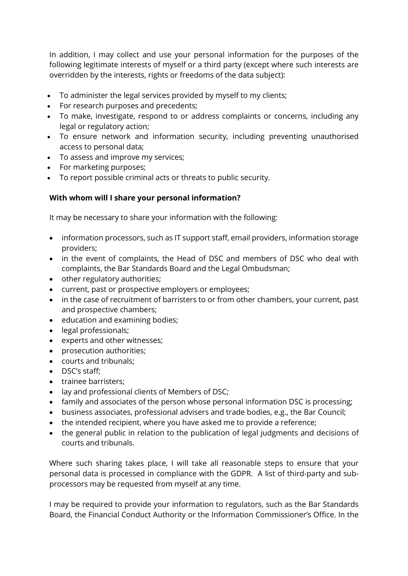In addition, I may collect and use your personal information for the purposes of the following legitimate interests of myself or a third party (except where such interests are overridden by the interests, rights or freedoms of the data subject):

- To administer the legal services provided by myself to my clients;
- For research purposes and precedents;
- To make, investigate, respond to or address complaints or concerns, including any legal or regulatory action;
- To ensure network and information security, including preventing unauthorised access to personal data;
- To assess and improve my services;
- For marketing purposes;
- To report possible criminal acts or threats to public security.

## **With whom will I share your personal information?**

It may be necessary to share your information with the following:

- information processors, such as IT support staff, email providers, information storage providers;
- in the event of complaints, the Head of DSC and members of DSC who deal with complaints, the Bar Standards Board and the Legal Ombudsman;
- other regulatory authorities;
- current, past or prospective employers or employees;
- in the case of recruitment of barristers to or from other chambers, your current, past and prospective chambers;
- education and examining bodies;
- legal professionals;
- experts and other witnesses;
- prosecution authorities;
- courts and tribunals;
- DSC's staff;
- trainee barristers;
- lay and professional clients of Members of DSC;
- family and associates of the person whose personal information DSC is processing;
- business associates, professional advisers and trade bodies, e.g., the Bar Council;
- the intended recipient, where you have asked me to provide a reference;
- the general public in relation to the publication of legal judgments and decisions of courts and tribunals.

Where such sharing takes place, I will take all reasonable steps to ensure that your personal data is processed in compliance with the GDPR. A list of third-party and subprocessors may be requested from myself at any time.

I may be required to provide your information to regulators, such as the Bar Standards Board, the Financial Conduct Authority or the Information Commissioner's Office. In the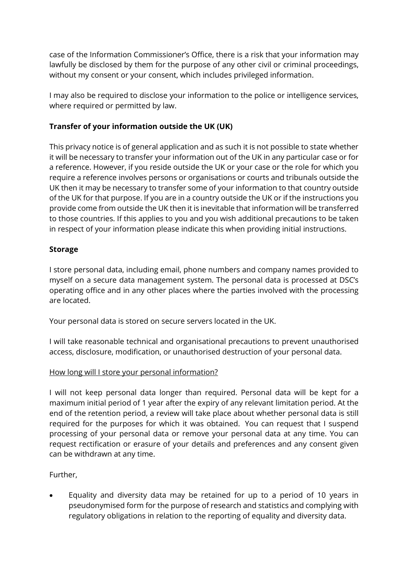case of the Information Commissioner's Office, there is a risk that your information may lawfully be disclosed by them for the purpose of any other civil or criminal proceedings, without my consent or your consent, which includes privileged information.

I may also be required to disclose your information to the police or intelligence services, where required or permitted by law.

# **Transfer of your information outside the UK (UK)**

This privacy notice is of general application and as such it is not possible to state whether it will be necessary to transfer your information out of the UK in any particular case or for a reference. However, if you reside outside the UK or your case or the role for which you require a reference involves persons or organisations or courts and tribunals outside the UK then it may be necessary to transfer some of your information to that country outside of the UK for that purpose. If you are in a country outside the UK or if the instructions you provide come from outside the UK then it is inevitable that information will be transferred to those countries. If this applies to you and you wish additional precautions to be taken in respect of your information please indicate this when providing initial instructions.

## **Storage**

I store personal data, including email, phone numbers and company names provided to myself on a secure data management system. The personal data is processed at DSC's operating office and in any other places where the parties involved with the processing are located.

Your personal data is stored on secure servers located in the UK.

I will take reasonable technical and organisational precautions to prevent unauthorised access, disclosure, modification, or unauthorised destruction of your personal data.

# How long will I store your personal information?

I will not keep personal data longer than required. Personal data will be kept for a maximum initial period of 1 year after the expiry of any relevant limitation period. At the end of the retention period, a review will take place about whether personal data is still required for the purposes for which it was obtained. You can request that I suspend processing of your personal data or remove your personal data at any time. You can request rectification or erasure of your details and preferences and any consent given can be withdrawn at any time.

Further,

• Equality and diversity data may be retained for up to a period of 10 years in pseudonymised form for the purpose of research and statistics and complying with regulatory obligations in relation to the reporting of equality and diversity data.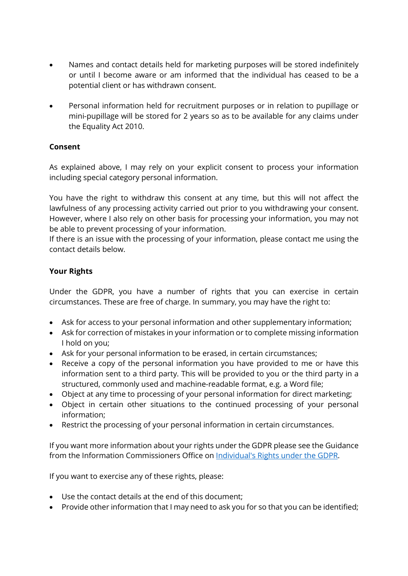- Names and contact details held for marketing purposes will be stored indefinitely or until I become aware or am informed that the individual has ceased to be a potential client or has withdrawn consent.
- Personal information held for recruitment purposes or in relation to pupillage or mini-pupillage will be stored for 2 years so as to be available for any claims under the Equality Act 2010.

# **Consent**

As explained above, I may rely on your explicit consent to process your information including special category personal information.

You have the right to withdraw this consent at any time, but this will not affect the lawfulness of any processing activity carried out prior to you withdrawing your consent. However, where I also rely on other basis for processing your information, you may not be able to prevent processing of your information.

If there is an issue with the processing of your information, please contact me using the contact details below.

## **Your Rights**

Under the GDPR, you have a number of rights that you can exercise in certain circumstances. These are free of charge. In summary, you may have the right to:

- Ask for access to your personal information and other supplementary information;
- Ask for correction of mistakes in your information or to complete missing information I hold on you;
- Ask for your personal information to be erased, in certain circumstances;
- Receive a copy of the personal information you have provided to me or have this information sent to a third party. This will be provided to you or the third party in a structured, commonly used and machine-readable format, e.g. a Word file;
- Object at any time to processing of your personal information for direct marketing;
- Object in certain other situations to the continued processing of your personal information;
- Restrict the processing of your personal information in certain circumstances.

If you want more information about your rights under the GDPR please see the Guidance from the Information Commissioners Office on [Individual's Rights under the GDPR.](http://ico.org.uk/for-organisations/guide-to-the-general-data-protection-regulation-gdpr/individual-rights/)

If you want to exercise any of these rights, please:

- Use the contact details at the end of this document;
- Provide other information that I may need to ask you for so that you can be identified;